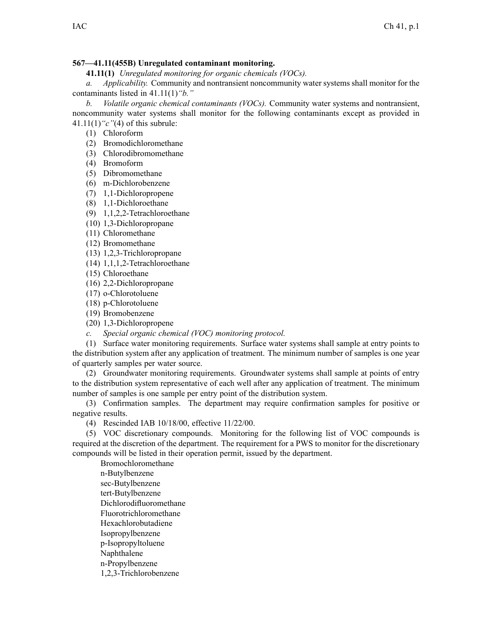## **567—41.11(455B) Unregulated contaminant monitoring.**

**41.11(1)** *Unregulated monitoring for organic chemicals (VOCs).*

*a. Applicability.* Community and nontransient noncommunity water systems shall monitor for the contaminants listed in 41.11(1)*"b."*

*b. Volatile organic chemical contaminants (VOCs).* Community water systems and nontransient, noncommunity water systems shall monitor for the following contaminants excep<sup>t</sup> as provided in 41.11(1)*"c"*(4) of this subrule:

(1) Chloroform

- (2) Bromodichloromethane
- (3) Chlorodibromomethane
- (4) Bromoform
- (5) Dibromomethane
- (6) m-Dichlorobenzene
- (7) 1,1-Dichloropropene
- (8) 1,1-Dichloroethane
- (9) 1,1,2,2-Tetrachloroethane
- (10) 1,3-Dichloropropane
- (11) Chloromethane
- (12) Bromomethane
- (13) 1,2,3-Trichloropropane
- (14) 1,1,1,2-Tetrachloroethane
- (15) Chloroethane
- (16) 2,2-Dichloropropane
- (17) o-Chlorotoluene
- (18) p-Chlorotoluene
- (19) Bromobenzene
- (20) 1,3-Dichloropropene
- *c. Special organic chemical (VOC) monitoring protocol.*

(1) Surface water monitoring requirements. Surface water systems shall sample at entry points to the distribution system after any application of treatment. The minimum number of samples is one year of quarterly samples per water source.

(2) Groundwater monitoring requirements. Groundwater systems shall sample at points of entry to the distribution system representative of each well after any application of treatment. The minimum number of samples is one sample per entry point of the distribution system.

(3) Confirmation samples. The department may require confirmation samples for positive or negative results.

(4) Rescinded IAB 10/18/00, effective 11/22/00.

(5) VOC discretionary compounds. Monitoring for the following list of VOC compounds is required at the discretion of the department. The requirement for <sup>a</sup> PWS to monitor for the discretionary compounds will be listed in their operation permit, issued by the department.

Bromochloromethane n-Butylbenzene sec-Butylbenzene tert-Butylbenzene Dichlorodifluoromethane Fluorotrichloromethane Hexachlorobutadiene Isopropylbenzene p-Isopropyltoluene Naphthalene n-Propylbenzene 1,2,3-Trichlorobenzene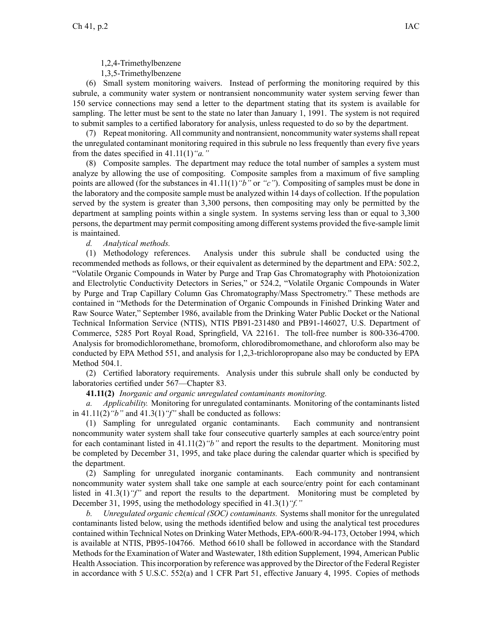1,3,5-Trimethylbenzene

(6) Small system monitoring waivers. Instead of performing the monitoring required by this subrule, <sup>a</sup> community water system or nontransient noncommunity water system serving fewer than 150 service connections may send <sup>a</sup> letter to the department stating that its system is available for sampling. The letter must be sent to the state no later than January 1, 1991. The system is not required to submit samples to <sup>a</sup> certified laboratory for analysis, unless requested to do so by the department.

(7) Repeat monitoring. All community and nontransient, noncommunity watersystemsshall repea<sup>t</sup> the unregulated contaminant monitoring required in this subrule no less frequently than every five years from the dates specified in 41.11(1)*"a."*

(8) Composite samples. The department may reduce the total number of samples <sup>a</sup> system must analyze by allowing the use of compositing. Composite samples from <sup>a</sup> maximum of five sampling points are allowed (for the substances in 41.11(1)*"b"* or *"c"*). Compositing of samples must be done in the laboratory and the composite sample must be analyzed within 14 days of collection. If the population served by the system is greater than 3,300 persons, then compositing may only be permitted by the department at sampling points within <sup>a</sup> single system. In systems serving less than or equal to 3,300 persons, the department may permit compositing among different systems provided the five-sample limit is maintained.

*d. Analytical methods.*

(1) Methodology references. Analysis under this subrule shall be conducted using the recommended methods as follows, or their equivalent as determined by the department and EPA: 502.2, "Volatile Organic Compounds in Water by Purge and Trap Gas Chromatography with Photoionization and Electrolytic Conductivity Detectors in Series," or 524.2, "Volatile Organic Compounds in Water by Purge and Trap Capillary Column Gas Chromatography/Mass Spectrometry." These methods are contained in "Methods for the Determination of Organic Compounds in Finished Drinking Water and Raw Source Water," September 1986, available from the Drinking Water Public Docket or the National Technical Information Service (NTIS), NTIS PB91-231480 and PB91-146027, U.S. Department of Commerce, 5285 Port Royal Road, Springfield, VA 22161. The toll-free number is 800-336-4700. Analysis for bromodichloromethane, bromoform, chlorodibromomethane, and chloroform also may be conducted by EPA Method 551, and analysis for 1,2,3-trichloropropane also may be conducted by EPA Method 504.1.

(2) Certified laboratory requirements. Analysis under this subrule shall only be conducted by laboratories certified under 567—Chapter 83.

**41.11(2)** *Inorganic and organic unregulated contaminants monitoring.*

*a. Applicability.* Monitoring for unregulated contaminants. Monitoring of the contaminants listed in 41.11(2)*"b"* and 41.3(1)*"f"* shall be conducted as follows:

(1) Sampling for unregulated organic contaminants. Each community and nontransient noncommunity water system shall take four consecutive quarterly samples at each source/entry point for each contaminant listed in 41.11(2)*"b"* and repor<sup>t</sup> the results to the department. Monitoring must be completed by December 31, 1995, and take place during the calendar quarter which is specified by the department.

(2) Sampling for unregulated inorganic contaminants. Each community and nontransient noncommunity water system shall take one sample at each source/entry point for each contaminant listed in 41.3(1)*"f"* and repor<sup>t</sup> the results to the department. Monitoring must be completed by December 31, 1995, using the methodology specified in 41.3(1)*"f."*

*b. Unregulated organic chemical (SOC) contaminants.* Systems shall monitor for the unregulated contaminants listed below, using the methods identified below and using the analytical test procedures contained within Technical Notes on Drinking Water Methods, EPA-600/R-94-173, October 1994, which is available at NTIS, PB95-104766. Method 6610 shall be followed in accordance with the Standard Methods for the Examination of Water and Wastewater, 18th edition Supplement, 1994, American Public Health Association. Thisincorporation by reference was approved by the Director of the Federal Register in accordance with 5 U.S.C. 552(a) and 1 CFR Part 51, effective January 4, 1995. Copies of methods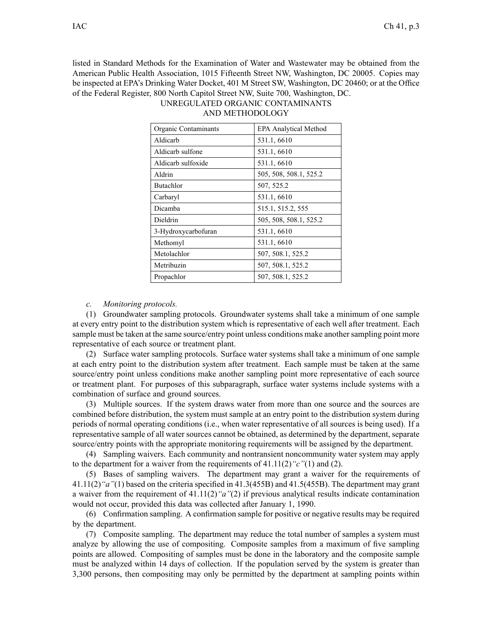listed in Standard Methods for the Examination of Water and Wastewater may be obtained from the American Public Health Association, 1015 Fifteenth Street NW, Washington, DC 20005. Copies may be inspected at EPA's Drinking Water Docket, 401 M Street SW, Washington, DC 20460; or at the Office of the Federal Register, 800 North Capitol Street NW, Suite 700, Washington, DC. UNREGULATED ORGANIC CONTAMINANTS

| Organic Contaminants | <b>EPA Analytical Method</b> |
|----------------------|------------------------------|
| Aldicarb             | 531.1, 6610                  |
| Aldicarb sulfone     | 531.1, 6610                  |
| Aldicarb sulfoxide   | 531.1, 6610                  |
| Aldrin               | 505, 508, 508.1, 525.2       |
| Butachlor            | 507, 525.2                   |
| Carbaryl             | 531.1, 6610                  |
| Dicamba              | 515.1, 515.2, 555            |
| Dieldrin             | 505, 508, 508.1, 525.2       |
| 3-Hydroxycarbofuran  | 531.1, 6610                  |
| Methomyl             | 531.1, 6610                  |
| Metolachlor          | 507, 508.1, 525.2            |
| Metribuzin           | 507, 508.1, 525.2            |
| Propachlor           | 507, 508.1, 525.2            |

## AND METHODOLOGY

*c. Monitoring protocols.*

(1) Groundwater sampling protocols. Groundwater systems shall take <sup>a</sup> minimum of one sample at every entry point to the distribution system which is representative of each well after treatment. Each sample must be taken at the same source/entry point unless conditions make another sampling point more representative of each source or treatment plant.

(2) Surface water sampling protocols. Surface water systems shall take <sup>a</sup> minimum of one sample at each entry point to the distribution system after treatment. Each sample must be taken at the same source/entry point unless conditions make another sampling point more representative of each source or treatment plant. For purposes of this subparagraph, surface water systems include systems with <sup>a</sup> combination of surface and ground sources.

(3) Multiple sources. If the system draws water from more than one source and the sources are combined before distribution, the system must sample at an entry point to the distribution system during periods of normal operating conditions (i.e., when water representative of all sources is being used). If <sup>a</sup> representative sample of all water sources cannot be obtained, as determined by the department, separate source/entry points with the appropriate monitoring requirements will be assigned by the department.

(4) Sampling waivers. Each community and nontransient noncommunity water system may apply to the department for <sup>a</sup> waiver from the requirements of 41.11(2)*"c"*(1) and (2).

(5) Bases of sampling waivers. The department may gran<sup>t</sup> <sup>a</sup> waiver for the requirements of 41.11(2)*"a"*(1) based on the criteria specified in 41.3(455B) and 41.5(455B). The department may gran<sup>t</sup> <sup>a</sup> waiver from the requirement of 41.11(2)*"a"*(2) if previous analytical results indicate contamination would not occur, provided this data was collected after January 1, 1990.

(6) Confirmation sampling. A confirmation sample for positive or negative results may be required by the department.

(7) Composite sampling. The department may reduce the total number of samples <sup>a</sup> system must analyze by allowing the use of compositing. Composite samples from <sup>a</sup> maximum of five sampling points are allowed. Compositing of samples must be done in the laboratory and the composite sample must be analyzed within 14 days of collection. If the population served by the system is greater than 3,300 persons, then compositing may only be permitted by the department at sampling points within